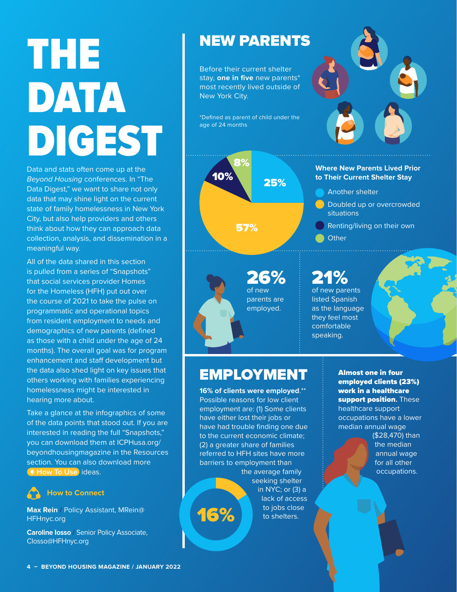# THE DATA DIGEST

Data and stats often come up at the *Beyond Housing* conferences. In "The Data Digest," we want to share not only data that may shine light on the current state of family homelessness in New York City, but also help providers and others think about how they can approach data collection, analysis, and dissemination in a meaningful way.

All of the data shared in this section is pulled from a series of "Snapshots" that social services provider Homes for the Homeless (HFH) put out over the course of 2021 to take the pulse on programmatic and operational topics from resident employment to needs and demographics of new parents (defined as those with a child under the age of 24 months). The overall goal was for program enhancement and staff development but the data also shed light on key issues that others working with families experiencing homelessness might be interested in hearing more about.

Take a glance at the infographics of some of the data points that stood out. If you are interested in reading the full "Snapshots," you can download them at ICPHusa.org/ beyondhousingmagazine in the Resources section. You can also download more **How To Use** ideas.

#### **How to Connect**

**Max Rein** / Policy Assistant, MRein@ HFHnyc.org

**Caroline Iosso** / Senior Policy Associate, CIosso@HFHnyc.org

#### NEW PARENTS

Before their current shelter stay, **one in five** new parents\* most recently lived outside of New York City.

\*Defined as parent of child under the age of 24 months

## 8% 10% 25% 57%



### EMPLOYMENT

**16% of clients were employed**.\*\* Possible reasons for low client employment are: (1) Some clients have either lost their jobs or have had trouble finding one due to the current economic climate; (2) a greater share of families referred to HFH sites have more barriers to employment than

the average family seeking shelter in NYC; or (3) a lack of access 16% to jobs close

Almost one in four employed clients (23%) work in a healthcare support position**.** These healthcare support occupations have a lower median annual wage

> (\$28,470) than the median annual wage for all other occupations.



#### **to Their Current Shelter Stay**

- Another shelter
- Doubled up or overcrowded situations
- Renting/living on their own
- **Other**

## 21%

of new parents listed Spanish as the language they feel most comfortable speaking.

**4 – BEYOND HOUSING MAGAZINE / JANUARY 2022**